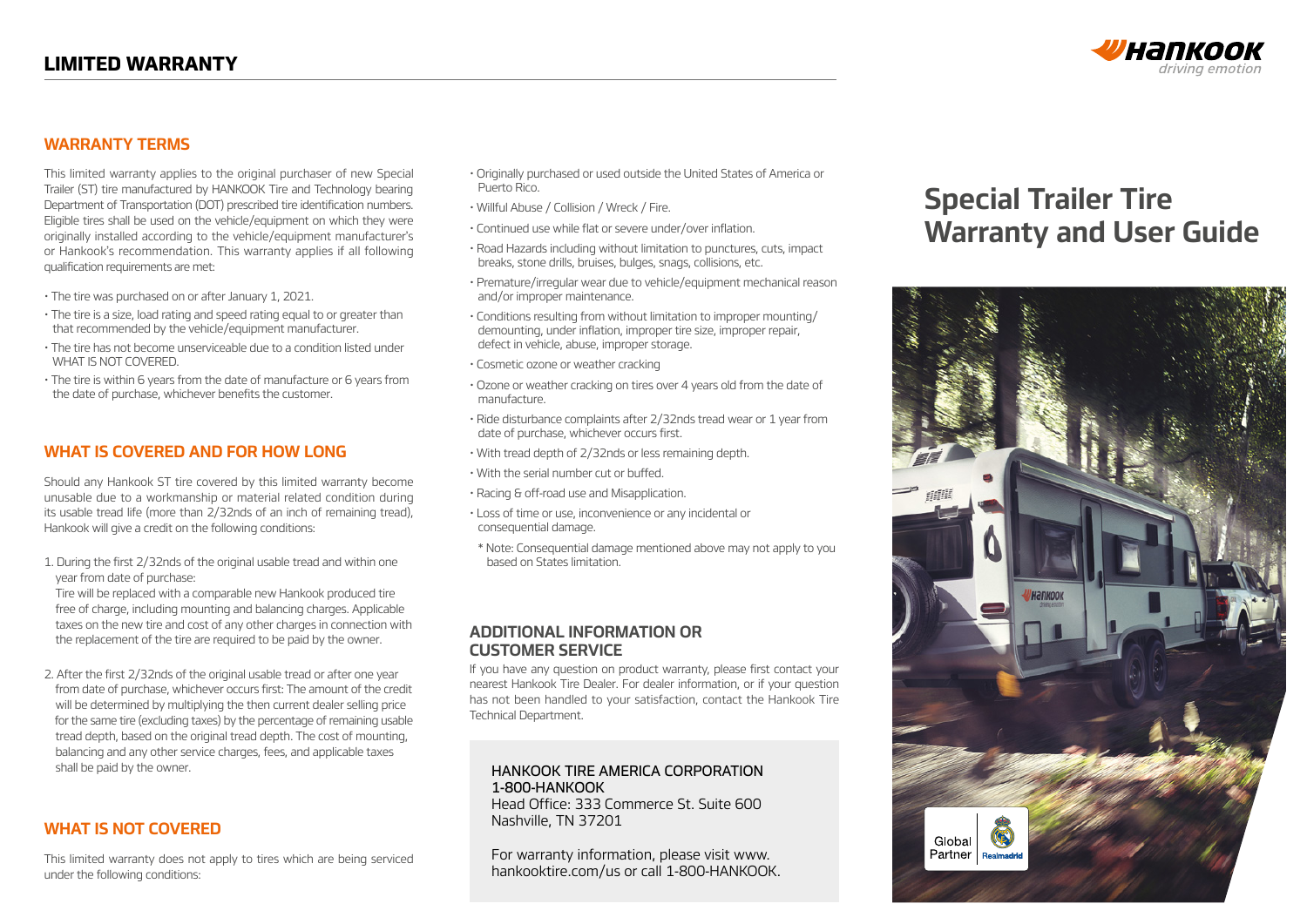

### **WARRANTY TERMS**

This limited warranty applies to the original purchaser of new Special Trailer (ST) tire manufactured by HANKOOK Tire and Technology bearing Department of Transportation (DOT) prescribed tire identification numbers. Eligible tires shall be used on the vehicle/equipment on which they were originally installed according to the vehicle/equipment manufacturer's or Hankook's recommendation. This warranty applies if all following qualification requirements are met:

- The tire was purchased on or after January 1, 2021.
- The tire is a size, load rating and speed rating equal to or greater than that recommended by the vehicle/equipment manufacturer.
- The tire has not become unserviceable due to a condition listed under WHAT IS NOT COVERED.
- The tire is within 6 years from the date of manufacture or 6 years from the date of purchase, whichever benefits the customer.

### **WHAT IS COVERED AND FOR HOW LONG**

Should any Hankook ST tire covered by this limited warranty become unusable due to a workmanship or material related condition during its usable tread life (more than 2/32nds of an inch of remaining tread), Hankook will give a credit on the following conditions:

1. During the first 2/32nds of the original usable tread and within one year from date of purchase:

 Tire will be replaced with a comparable new Hankook produced tire free of charge, including mounting and balancing charges. Applicable taxes on the new tire and cost of any other charges in connection with the replacement of the tire are required to be paid by the owner.

2. After the first 2/32nds of the original usable tread or after one year from date of purchase, whichever occurs first: The amount of the credit will be determined by multiplying the then current dealer selling price for the same tire (excluding taxes) by the percentage of remaining usable tread depth, based on the original tread depth. The cost of mounting, balancing and any other service charges, fees, and applicable taxes shall be paid by the owner.

## **WHAT IS NOT COVERED**

This limited warranty does not apply to tires which are being serviced under the following conditions:

- Originally purchased or used outside the United States of America or Puerto Rico.
- Willful Abuse / Collision / Wreck / Fire.
- Continued use while flat or severe under/over inflation.
- Road Hazards including without limitation to punctures, cuts, impact breaks, stone drills, bruises, bulges, snags, collisions, etc.
- Premature/irregular wear due to vehicle/equipment mechanical reason and/or improper maintenance.
- Conditions resulting from without limitation to improper mounting/ demounting, under inflation, improper tire size, improper repair, defect in vehicle, abuse, improper storage.
- Cosmetic ozone or weather cracking
- Ozone or weather cracking on tires over 4 years old from the date of manufacture.
- Ride disturbance complaints after 2/32nds tread wear or 1 year from date of purchase, whichever occurs first.
- With tread depth of 2/32nds or less remaining depth.
- With the serial number cut or buffed.
- Racing & off-road use and Misapplication.
- Loss of time or use, inconvenience or any incidental or consequential damage.
- \* Note: Consequential damage mentioned above may not apply to you based on States limitation.

### **ADDITIONAL INFORMATION OR CUSTOMER SERVICE**

If you have any question on product warranty, please first contact your nearest Hankook Tire Dealer. For dealer information, or if your question has not been handled to your satisfaction, contact the Hankook Tire Technical Department.

#### HANKOOK TIRE AMERICA CORPORATION 1-800-HANKOOK

Head Office: 333 Commerce St. Suite 600 Nashville, TN 37201

For warranty information, please visit www. hankooktire.com/us or call 1-800-HANKOOK.

# **Special Trailer Tire Warranty and User Guide**